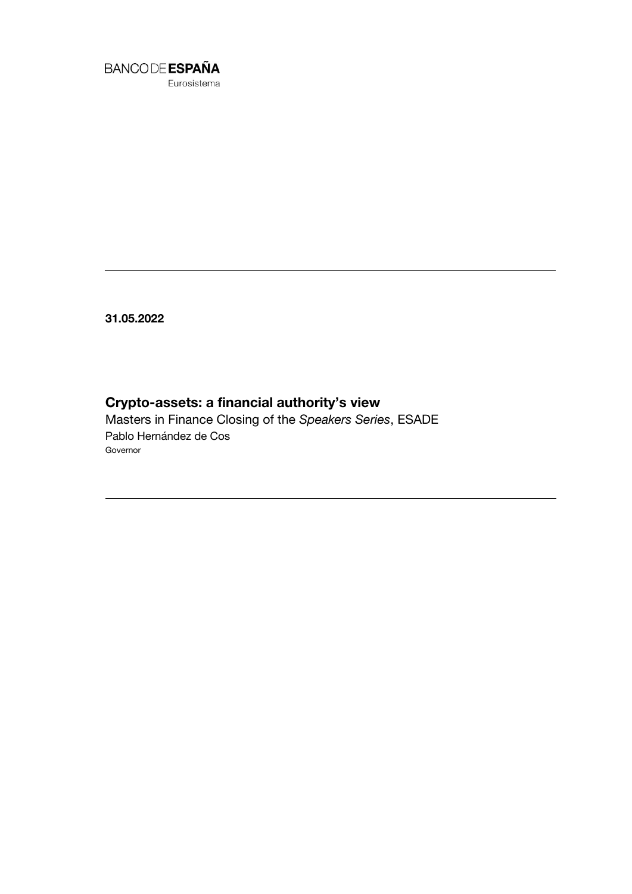

**31.05.2022**

# **Crypto-assets: a financial authority's view**

Masters in Finance Closing of the *Speakers Series*, ESADE Pablo Hernández de Cos Governor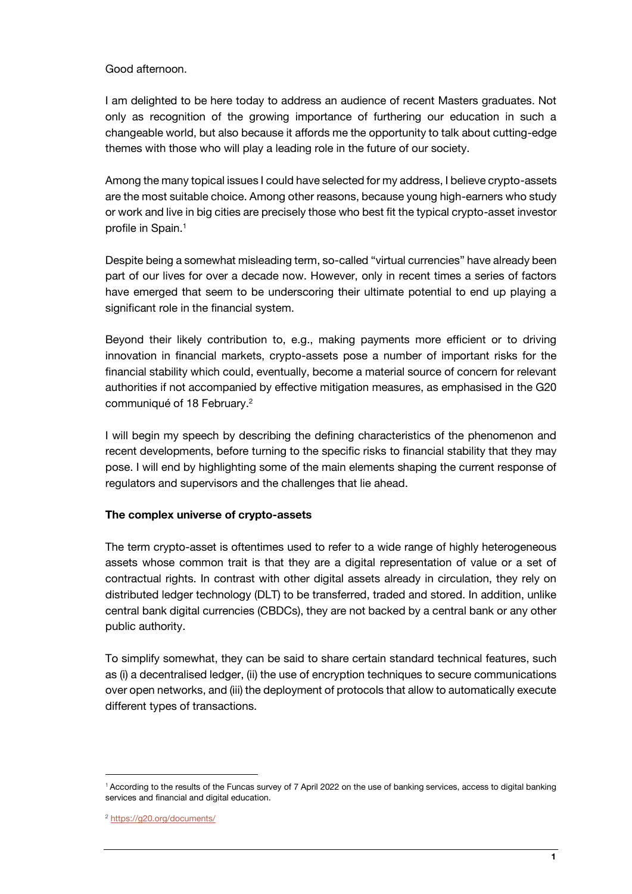## Good afternoon.

I am delighted to be here today to address an audience of recent Masters graduates. Not only as recognition of the growing importance of furthering our education in such a changeable world, but also because it affords me the opportunity to talk about cutting-edge themes with those who will play a leading role in the future of our society.

Among the many topical issues I could have selected for my address, I believe crypto-assets are the most suitable choice. Among other reasons, because young high-earners who study or work and live in big cities are precisely those who best fit the typical crypto-asset investor profile in Spain.<sup>1</sup>

Despite being a somewhat misleading term, so-called "virtual currencies" have already been part of our lives for over a decade now. However, only in recent times a series of factors have emerged that seem to be underscoring their ultimate potential to end up playing a significant role in the financial system.

Beyond their likely contribution to, e.g., making payments more efficient or to driving innovation in financial markets, crypto-assets pose a number of important risks for the financial stability which could, eventually, become a material source of concern for relevant authorities if not accompanied by effective mitigation measures, as emphasised in the G20 communiqué of 18 February.<sup>2</sup>

I will begin my speech by describing the defining characteristics of the phenomenon and recent developments, before turning to the specific risks to financial stability that they may pose. I will end by highlighting some of the main elements shaping the current response of regulators and supervisors and the challenges that lie ahead.

## **The complex universe of crypto-assets**

The term crypto-asset is oftentimes used to refer to a wide range of highly heterogeneous assets whose common trait is that they are a digital representation of value or a set of contractual rights. In contrast with other digital assets already in circulation, they rely on distributed ledger technology (DLT) to be transferred, traded and stored. In addition, unlike central bank digital currencies (CBDCs), they are not backed by a central bank or any other public authority.

To simplify somewhat, they can be said to share certain standard technical features, such as (i) a decentralised ledger, (ii) the use of encryption techniques to secure communications over open networks, and (iii) the deployment of protocols that allow to automatically execute different types of transactions.

l

<sup>1</sup> According to the results of the Funcas survey of 7 April 2022 on the use of banking services, access to digital banking services and financial and digital education.

<sup>2</sup> https://g20.org/documents/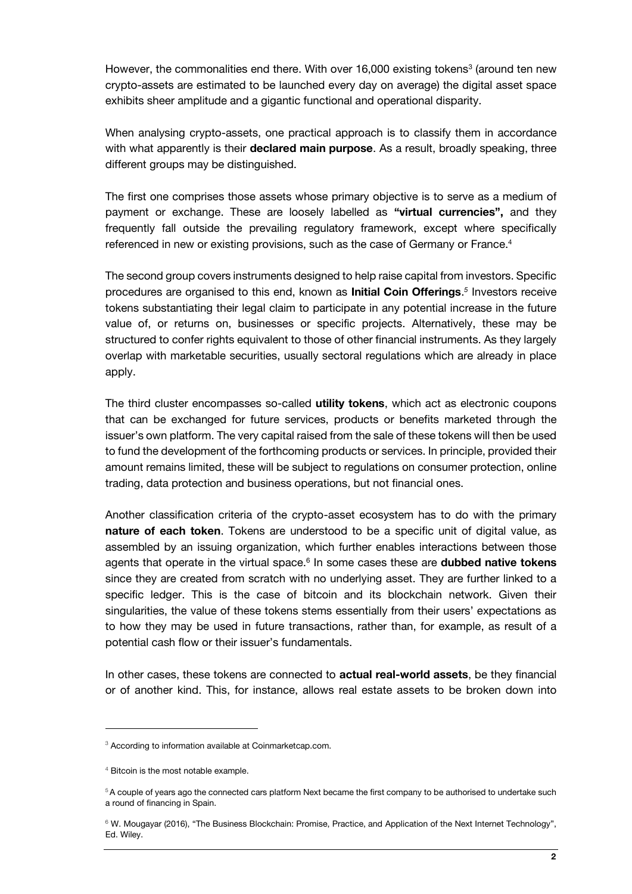However, the commonalities end there. With over 16,000 existing tokens<sup>3</sup> (around ten new crypto-assets are estimated to be launched every day on average) the digital asset space exhibits sheer amplitude and a gigantic functional and operational disparity.

When analysing crypto-assets, one practical approach is to classify them in accordance with what apparently is their **declared main purpose**. As a result, broadly speaking, three different groups may be distinguished.

The first one comprises those assets whose primary objective is to serve as a medium of payment or exchange. These are loosely labelled as **"virtual currencies",** and they frequently fall outside the prevailing regulatory framework, except where specifically referenced in new or existing provisions, such as the case of Germany or France.<sup>4</sup>

The second group covers instruments designed to help raise capital from investors. Specific procedures are organised to this end, known as **Initial Coin Offerings**. *5* Investors receive tokens substantiating their legal claim to participate in any potential increase in the future value of, or returns on, businesses or specific projects. Alternatively, these may be structured to confer rights equivalent to those of other financial instruments. As they largely overlap with marketable securities, usually sectoral regulations which are already in place apply.

The third cluster encompasses so-called **utility tokens**, which act as electronic coupons that can be exchanged for future services, products or benefits marketed through the issuer's own platform. The very capital raised from the sale of these tokens will then be used to fund the development of the forthcoming products or services. In principle, provided their amount remains limited, these will be subject to regulations on consumer protection, online trading, data protection and business operations, but not financial ones.

Another classification criteria of the crypto-asset ecosystem has to do with the primary **nature of each token**. Tokens are understood to be a specific unit of digital value, as assembled by an issuing organization, which further enables interactions between those agents that operate in the virtual space.<sup>6</sup> In some cases these are **dubbed native tokens** since they are created from scratch with no underlying asset. They are further linked to a specific ledger. This is the case of bitcoin and its blockchain network. Given their singularities, the value of these tokens stems essentially from their users' expectations as to how they may be used in future transactions, rather than, for example, as result of a potential cash flow or their issuer's fundamentals.

In other cases, these tokens are connected to **actual real-world assets**, be they financial or of another kind. This, for instance, allows real estate assets to be broken down into

1

<sup>&</sup>lt;sup>3</sup> According to information available at Coinmarketcap.com.

<sup>4</sup> Bitcoin is the most notable example.

<sup>5</sup>A couple of years ago the connected cars platform Next became the first company to be authorised to undertake such a round of financing in Spain.

<sup>&</sup>lt;sup>6</sup> W. Mougayar (2016), "The Business Blockchain: Promise, Practice, and Application of the Next Internet Technology", Ed. Wiley.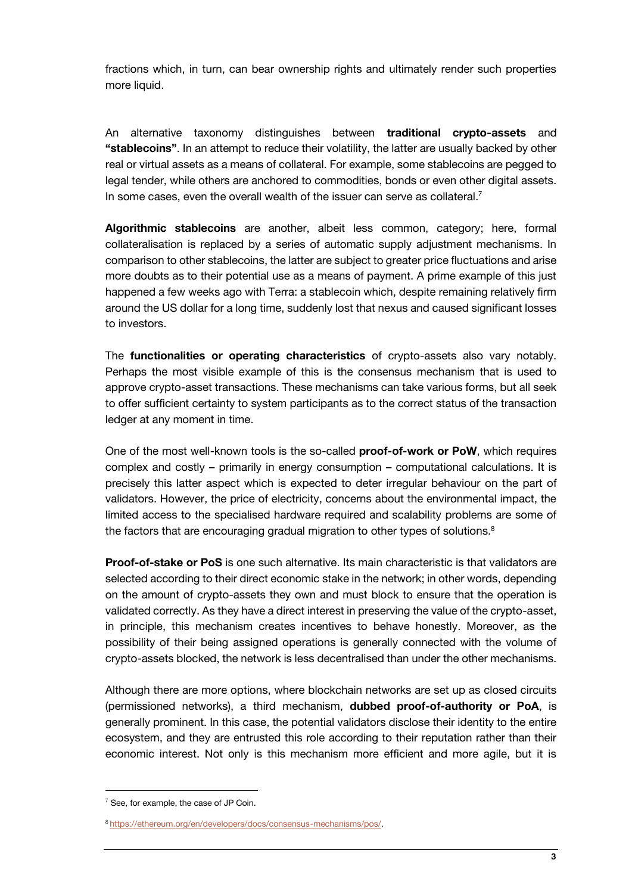fractions which, in turn, can bear ownership rights and ultimately render such properties more liquid.

An alternative taxonomy distinguishes between **traditional crypto-assets** and **"stablecoins"**. In an attempt to reduce their volatility, the latter are usually backed by other real or virtual assets as a means of collateral. For example, some stablecoins are pegged to legal tender, while others are anchored to commodities, bonds or even other digital assets. In some cases, even the overall wealth of the issuer can serve as collateral.<sup>7</sup>

**Algorithmic stablecoins** are another, albeit less common, category; here, formal collateralisation is replaced by a series of automatic supply adjustment mechanisms. In comparison to other stablecoins, the latter are subject to greater price fluctuations and arise more doubts as to their potential use as a means of payment. A prime example of this just happened a few weeks ago with Terra: a stablecoin which, despite remaining relatively firm around the US dollar for a long time, suddenly lost that nexus and caused significant losses to investors.

The **functionalities or operating characteristics** of crypto-assets also vary notably. Perhaps the most visible example of this is the consensus mechanism that is used to approve crypto-asset transactions. These mechanisms can take various forms, but all seek to offer sufficient certainty to system participants as to the correct status of the transaction ledger at any moment in time.

One of the most well-known tools is the so-called **proof-of-work or PoW**, which requires complex and costly – primarily in energy consumption – computational calculations. It is precisely this latter aspect which is expected to deter irregular behaviour on the part of validators. However, the price of electricity, concerns about the environmental impact, the limited access to the specialised hardware required and scalability problems are some of the factors that are encouraging gradual migration to other types of solutions.<sup>8</sup>

**Proof-of-stake or PoS** is one such alternative. Its main characteristic is that validators are selected according to their direct economic stake in the network; in other words, depending on the amount of crypto-assets they own and must block to ensure that the operation is validated correctly. As they have a direct interest in preserving the value of the crypto-asset, in principle, this mechanism creates incentives to behave honestly. Moreover, as the possibility of their being assigned operations is generally connected with the volume of crypto-assets blocked, the network is less decentralised than under the other mechanisms.

Although there are more options, where blockchain networks are set up as closed circuits (permissioned networks), a third mechanism, **dubbed proof-of-authority or PoA**, is generally prominent. In this case, the potential validators disclose their identity to the entire ecosystem, and they are entrusted this role according to their reputation rather than their economic interest. Not only is this mechanism more efficient and more agile, but it is

l

 $7$  See, for example, the case of JP Coin.

<sup>8</sup> [https://ethereum.org/en/developers/docs/consensus-mechanisms/pos/.](https://ethereum.org/en/developers/docs/consensus-mechanisms/pos/)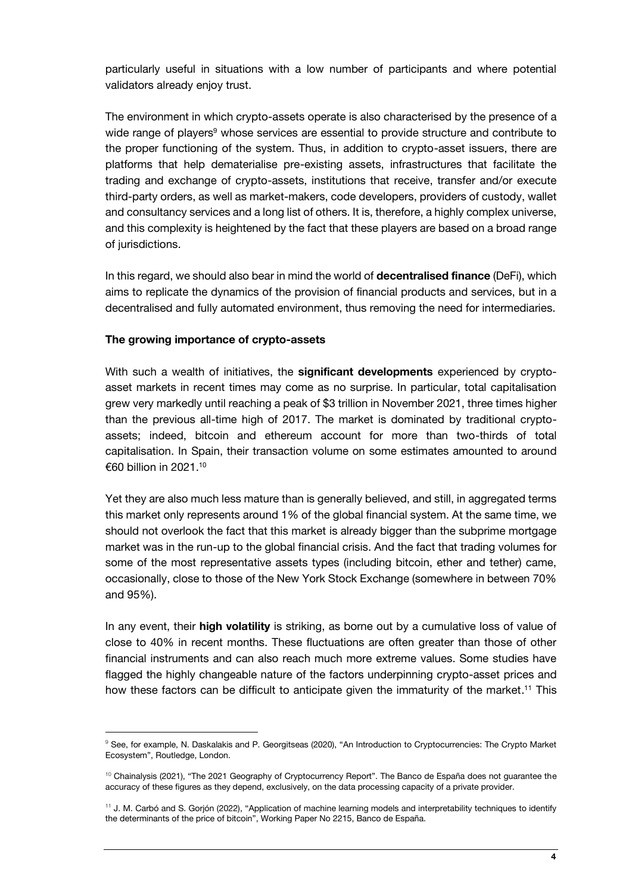particularly useful in situations with a low number of participants and where potential validators already enjoy trust.

The environment in which crypto-assets operate is also characterised by the presence of a wide range of players<sup>9</sup> whose services are essential to provide structure and contribute to the proper functioning of the system. Thus, in addition to crypto-asset issuers, there are platforms that help dematerialise pre-existing assets, infrastructures that facilitate the trading and exchange of crypto-assets, institutions that receive, transfer and/or execute third-party orders, as well as market-makers, code developers, providers of custody, wallet and consultancy services and a long list of others. It is, therefore, a highly complex universe, and this complexity is heightened by the fact that these players are based on a broad range of jurisdictions.

In this regard, we should also bear in mind the world of **decentralised finance** (DeFi), which aims to replicate the dynamics of the provision of financial products and services, but in a decentralised and fully automated environment, thus removing the need for intermediaries.

## **The growing importance of crypto-assets**

1

With such a wealth of initiatives, the **significant developments** experienced by cryptoasset markets in recent times may come as no surprise. In particular, total capitalisation grew very markedly until reaching a peak of \$3 trillion in November 2021, three times higher than the previous all-time high of 2017. The market is dominated by traditional cryptoassets; indeed, bitcoin and ethereum account for more than two-thirds of total capitalisation. In Spain, their transaction volume on some estimates amounted to around €60 billion in 2021.<sup>10</sup>

Yet they are also much less mature than is generally believed, and still, in aggregated terms this market only represents around 1% of the global financial system. At the same time, we should not overlook the fact that this market is already bigger than the subprime mortgage market was in the run-up to the global financial crisis. And the fact that trading volumes for some of the most representative assets types (including bitcoin, ether and tether) came, occasionally, close to those of the New York Stock Exchange (somewhere in between 70% and 95%).

In any event, their **high volatility** is striking, as borne out by a cumulative loss of value of close to 40% in recent months. These fluctuations are often greater than those of other financial instruments and can also reach much more extreme values. Some studies have flagged the highly changeable nature of the factors underpinning crypto-asset prices and how these factors can be difficult to anticipate given the immaturity of the market. <sup>11</sup> This

<sup>9</sup> See, for example, N. Daskalakis and P. Georgitseas (2020), "An Introduction to Cryptocurrencies: The Crypto Market Ecosystem", Routledge, London.

<sup>&</sup>lt;sup>10</sup> Chainalysis (2021), "The 2021 Geography of Cryptocurrency Report". The Banco de España does not guarantee the accuracy of these figures as they depend, exclusively, on the data processing capacity of a private provider.

<sup>11</sup> J. M. Carbó and S. Gorjón (2022), "Application of machine learning models and interpretability techniques to identify the determinants of the price of bitcoin", Working Paper No 2215, Banco de España.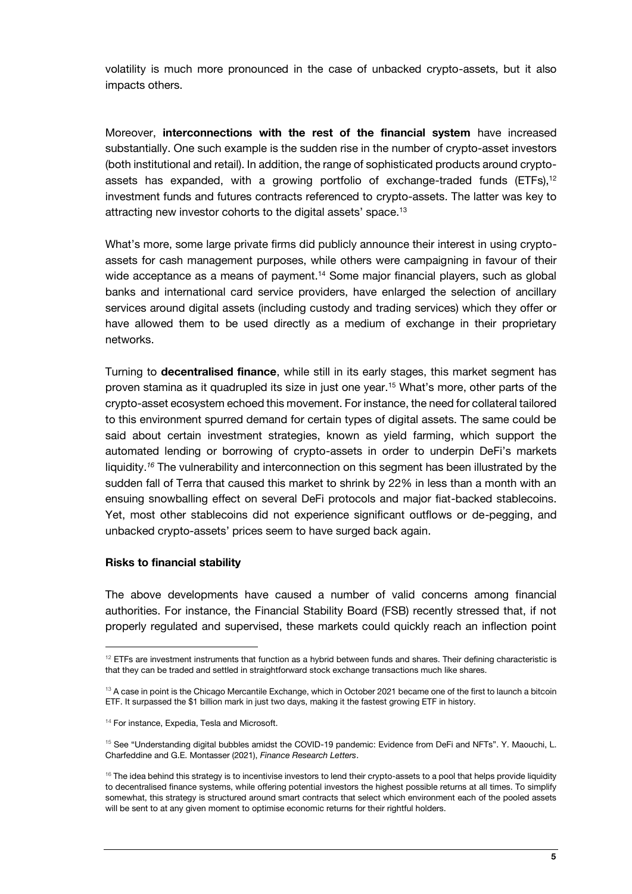volatility is much more pronounced in the case of unbacked crypto-assets, but it also impacts others.

Moreover, **interconnections with the rest of the financial system** have increased substantially. One such example is the sudden rise in the number of crypto-asset investors (both institutional and retail). In addition, the range of sophisticated products around cryptoassets has expanded, with a growing portfolio of exchange-traded funds (ETFs), $12$ investment funds and futures contracts referenced to crypto-assets. The latter was key to attracting new investor cohorts to the digital assets' space.<sup>13</sup>

What's more, some large private firms did publicly announce their interest in using cryptoassets for cash management purposes, while others were campaigning in favour of their wide acceptance as a means of payment.<sup>14</sup> Some major financial players, such as global banks and international card service providers, have enlarged the selection of ancillary services around digital assets (including custody and trading services) which they offer or have allowed them to be used directly as a medium of exchange in their proprietary networks.

Turning to **decentralised finance**, while still in its early stages, this market segment has proven stamina as it quadrupled its size in just one year.<sup>15</sup> What's more, other parts of the crypto-asset ecosystem echoed this movement. For instance, the need for collateral tailored to this environment spurred demand for certain types of digital assets. The same could be said about certain investment strategies, known as yield farming, which support the automated lending or borrowing of crypto-assets in order to underpin DeFi's markets liquidity.*<sup>16</sup>* The vulnerability and interconnection on this segment has been illustrated by the sudden fall of Terra that caused this market to shrink by 22% in less than a month with an ensuing snowballing effect on several DeFi protocols and major fiat-backed stablecoins. Yet, most other stablecoins did not experience significant outflows or de-pegging, and unbacked crypto-assets' prices seem to have surged back again.

#### **Risks to financial stability**

j

The above developments have caused a number of valid concerns among financial authorities. For instance, the Financial Stability Board (FSB) recently stressed that, if not properly regulated and supervised, these markets could quickly reach an inflection point

 $12$  ETFs are investment instruments that function as a hybrid between funds and shares. Their defining characteristic is that they can be traded and settled in straightforward stock exchange transactions much like shares.

 $13$  A case in point is the Chicago Mercantile Exchange, which in October 2021 became one of the first to launch a bitcoin ETF. It surpassed the \$1 billion mark in just two days, making it the fastest growing ETF in history.

<sup>&</sup>lt;sup>14</sup> For instance, Expedia, Tesla and Microsoft.

<sup>15</sup> See "Understanding digital bubbles amidst the COVID-19 pandemic: Evidence from DeFi and NFTs". Y. Maouchi, L. Charfeddine and G.E. Montasser (2021), *Finance Research Letters*.

<sup>&</sup>lt;sup>16</sup> The idea behind this strategy is to incentivise investors to lend their crypto-assets to a pool that helps provide liquidity to decentralised finance systems, while offering potential investors the highest possible returns at all times. To simplify somewhat, this strategy is structured around smart contracts that select which environment each of the pooled assets will be sent to at any given moment to optimise economic returns for their rightful holders.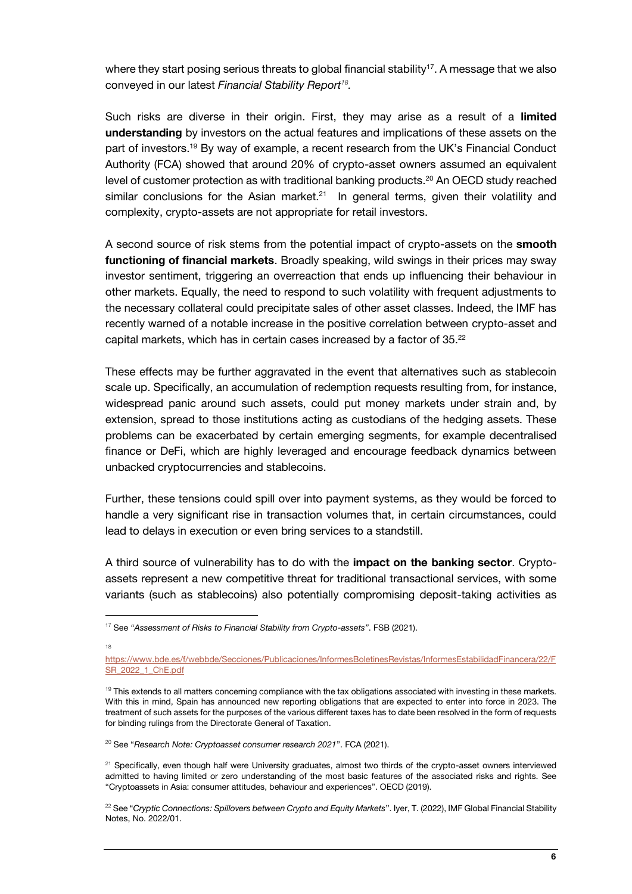where they start posing serious threats to global financial stability<sup>17</sup>. A message that we also conveyed in our latest *Financial Stability Report<sup>18</sup> .*

Such risks are diverse in their origin. First, they may arise as a result of a **limited understanding** by investors on the actual features and implications of these assets on the part of investors.<sup>19</sup> By way of example, a recent research from the UK's Financial Conduct Authority (FCA) showed that around 20% of crypto-asset owners assumed an equivalent level of customer protection as with traditional banking products.<sup>20</sup> An OECD study reached similar conclusions for the Asian market.<sup>21</sup> In general terms, given their volatility and complexity, crypto-assets are not appropriate for retail investors.

A second source of risk stems from the potential impact of crypto-assets on the **smooth functioning of financial markets**. Broadly speaking, wild swings in their prices may sway investor sentiment, triggering an overreaction that ends up influencing their behaviour in other markets. Equally, the need to respond to such volatility with frequent adjustments to the necessary collateral could precipitate sales of other asset classes. Indeed, the IMF has recently warned of a notable increase in the positive correlation between crypto-asset and capital markets, which has in certain cases increased by a factor of 35.<sup>22</sup>

These effects may be further aggravated in the event that alternatives such as stablecoin scale up. Specifically, an accumulation of redemption requests resulting from, for instance, widespread panic around such assets, could put money markets under strain and, by extension, spread to those institutions acting as custodians of the hedging assets. These problems can be exacerbated by certain emerging segments, for example decentralised finance or DeFi, which are highly leveraged and encourage feedback dynamics between unbacked cryptocurrencies and stablecoins.

Further, these tensions could spill over into payment systems, as they would be forced to handle a very significant rise in transaction volumes that, in certain circumstances, could lead to delays in execution or even bring services to a standstill.

A third source of vulnerability has to do with the **impact on the banking sector**. Cryptoassets represent a new competitive threat for traditional transactional services, with some variants (such as stablecoins) also potentially compromising deposit-taking activities as

18

j

<sup>17</sup> See *"Assessment of Risks to Financial Stability from Crypto-assets"*. FSB (2021).

[https://www.bde.es/f/webbde/Secciones/Publicaciones/InformesBoletinesRevistas/InformesEstabilidadFinancera/22/F](https://www.bde.es/f/webbde/Secciones/Publicaciones/InformesBoletinesRevistas/InformesEstabilidadFinancera/22/FSR_2022_1_ChE.pdf) [SR\\_2022\\_1\\_ChE.pdf](https://www.bde.es/f/webbde/Secciones/Publicaciones/InformesBoletinesRevistas/InformesEstabilidadFinancera/22/FSR_2022_1_ChE.pdf)

 $19$  This extends to all matters concerning compliance with the tax obligations associated with investing in these markets. With this in mind, Spain has announced new reporting obligations that are expected to enter into force in 2023. The treatment of such assets for the purposes of the various different taxes has to date been resolved in the form of requests for binding rulings from the Directorate General of Taxation.

<sup>20</sup> See "*Research Note: Cryptoasset consumer research 2021*". FCA (2021).

<sup>&</sup>lt;sup>21</sup> Specifically, even though half were University graduates, almost two thirds of the crypto-asset owners interviewed admitted to having limited or zero understanding of the most basic features of the associated risks and rights. See "Cryptoassets in Asia: consumer attitudes, behaviour and experiences". OECD (2019).

<sup>&</sup>lt;sup>22</sup> See "Cryptic Connections: Spillovers between Crypto and Equity Markets". Iyer, T. (2022), IMF Global Financial Stability Notes, No. 2022/01.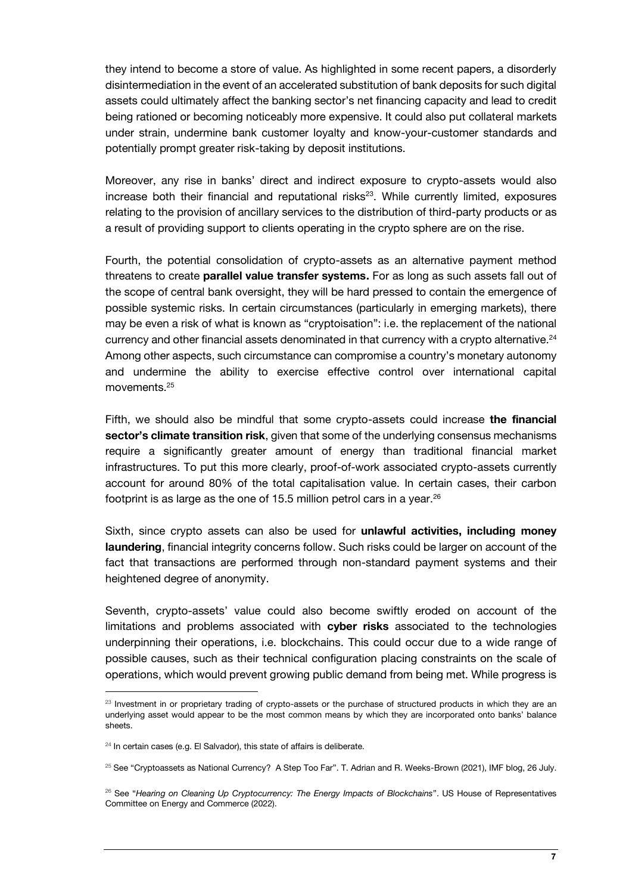they intend to become a store of value. As highlighted in some recent papers, a disorderly disintermediation in the event of an accelerated substitution of bank deposits for such digital assets could ultimately affect the banking sector's net financing capacity and lead to credit being rationed or becoming noticeably more expensive. It could also put collateral markets under strain, undermine bank customer loyalty and know-your-customer standards and potentially prompt greater risk-taking by deposit institutions.

Moreover, any rise in banks' direct and indirect exposure to crypto-assets would also increase both their financial and reputational risks $23$ . While currently limited, exposures relating to the provision of ancillary services to the distribution of third-party products or as a result of providing support to clients operating in the crypto sphere are on the rise.

Fourth, the potential consolidation of crypto-assets as an alternative payment method threatens to create **parallel value transfer systems.** For as long as such assets fall out of the scope of central bank oversight, they will be hard pressed to contain the emergence of possible systemic risks. In certain circumstances (particularly in emerging markets), there may be even a risk of what is known as "cryptoisation": i.e. the replacement of the national currency and other financial assets denominated in that currency with a crypto alternative.<sup>24</sup> Among other aspects, such circumstance can compromise a country's monetary autonomy and undermine the ability to exercise effective control over international capital movements.<sup>25</sup>

Fifth, we should also be mindful that some crypto-assets could increase **the financial sector's climate transition risk**, given that some of the underlying consensus mechanisms require a significantly greater amount of energy than traditional financial market infrastructures. To put this more clearly, proof-of-work associated crypto-assets currently account for around 80% of the total capitalisation value. In certain cases, their carbon footprint is as large as the one of 15.5 million petrol cars in a year.<sup>26</sup>

Sixth, since crypto assets can also be used for **unlawful activities, including money laundering**, financial integrity concerns follow. Such risks could be larger on account of the fact that transactions are performed through non-standard payment systems and their heightened degree of anonymity.

Seventh, crypto-assets' value could also become swiftly eroded on account of the limitations and problems associated with **cyber risks** associated to the technologies underpinning their operations, i.e. blockchains. This could occur due to a wide range of possible causes, such as their technical configuration placing constraints on the scale of operations, which would prevent growing public demand from being met. While progress is

j

<sup>&</sup>lt;sup>23</sup> Investment in or proprietary trading of crypto-assets or the purchase of structured products in which they are an underlying asset would appear to be the most common means by which they are incorporated onto banks' balance sheets.

 $24$  In certain cases (e.g. El Salvador), this state of affairs is deliberate.

 $25$  See "Cryptoassets as National Currency? A Step Too Far". T. Adrian and R. Weeks-Brown (2021), IMF blog, 26 July.

<sup>26</sup> See "*Hearing on Cleaning Up Cryptocurrency: The Energy Impacts of Blockchains*". US House of Representatives Committee on Energy and Commerce (2022).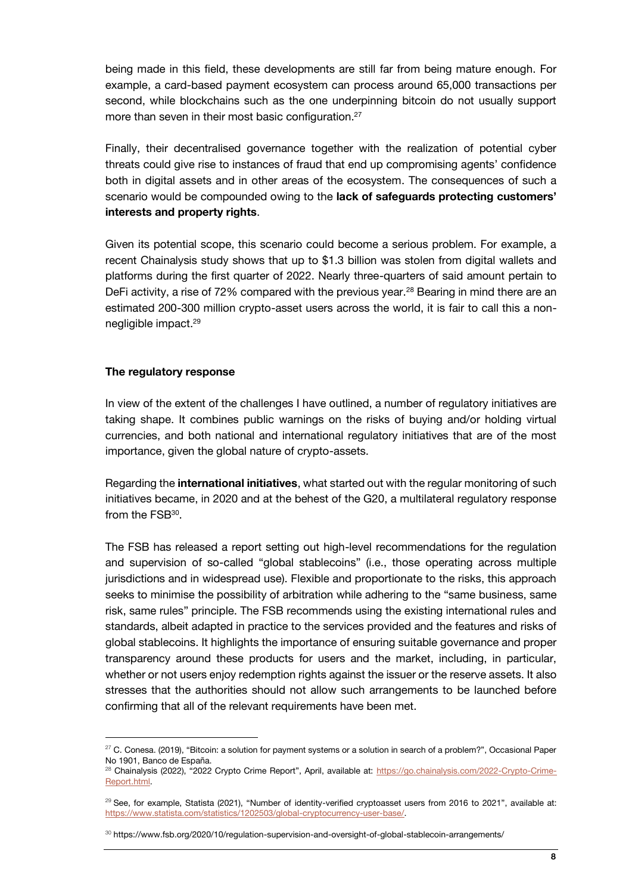being made in this field, these developments are still far from being mature enough. For example, a card-based payment ecosystem can process around 65,000 transactions per second, while blockchains such as the one underpinning bitcoin do not usually support more than seven in their most basic configuration.<sup>27</sup>

Finally, their decentralised governance together with the realization of potential cyber threats could give rise to instances of fraud that end up compromising agents' confidence both in digital assets and in other areas of the ecosystem. The consequences of such a scenario would be compounded owing to the **lack of safeguards protecting customers' interests and property rights**.

Given its potential scope, this scenario could become a serious problem. For example, a recent Chainalysis study shows that up to \$1.3 billion was stolen from digital wallets and platforms during the first quarter of 2022. Nearly three-quarters of said amount pertain to DeFi activity, a rise of 72% compared with the previous year.<sup>28</sup> Bearing in mind there are an estimated 200-300 million crypto-asset users across the world, it is fair to call this a nonnegligible impact.<sup>29</sup>

#### **The regulatory response**

1

In view of the extent of the challenges I have outlined, a number of regulatory initiatives are taking shape. It combines public warnings on the risks of buying and/or holding virtual currencies, and both national and international regulatory initiatives that are of the most importance, given the global nature of crypto-assets.

Regarding the **international initiatives**, what started out with the regular monitoring of such initiatives became, in 2020 and at the behest of the G20, a multilateral regulatory response from the  $FSB<sup>30</sup>$ .

The FSB has released a report setting out high-level recommendations for the regulation and supervision of so-called "global stablecoins" (i.e., those operating across multiple jurisdictions and in widespread use). Flexible and proportionate to the risks, this approach seeks to minimise the possibility of arbitration while adhering to the "same business, same risk, same rules" principle. The FSB recommends using the existing international rules and standards, albeit adapted in practice to the services provided and the features and risks of global stablecoins. It highlights the importance of ensuring suitable governance and proper transparency around these products for users and the market, including, in particular, whether or not users enjoy redemption rights against the issuer or the reserve assets. It also stresses that the authorities should not allow such arrangements to be launched before confirming that all of the relevant requirements have been met.

 $27$  C. Conesa. (2019), "Bitcoin: a solution for payment systems or a solution in search of a problem?", Occasional Paper No 1901, Banco de España.

<sup>&</sup>lt;sup>28</sup> Chainalysis (2022), "2022 Crypto Crime Report", April, available at: [https://go.chainalysis.com/2022-Crypto-Crime-](https://go.chainalysis.com/2022-Crypto-Crime-Report.html)[Report.html.](https://go.chainalysis.com/2022-Crypto-Crime-Report.html)

<sup>&</sup>lt;sup>29</sup> See, for example, Statista (2021), "Number of identity-verified cryptoasset users from 2016 to 2021", available at: [https://www.statista.com/statistics/1202503/global-cryptocurrency-user-base/.](https://www.statista.com/statistics/1202503/global-cryptocurrency-user-base/)

<sup>30</sup> https://www.fsb.org/2020/10/regulation-supervision-and-oversight-of-global-stablecoin-arrangements/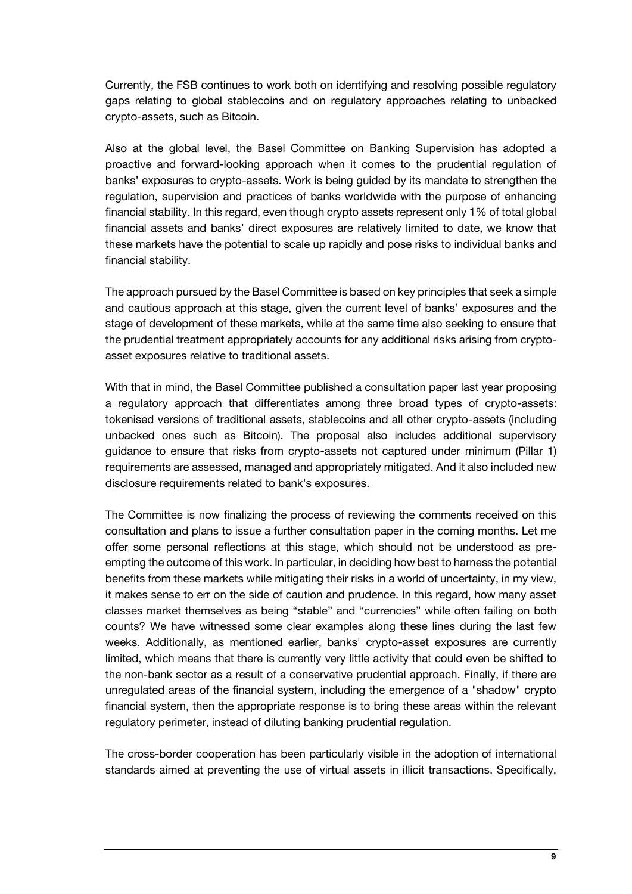Currently, the FSB continues to work both on identifying and resolving possible regulatory gaps relating to global stablecoins and on regulatory approaches relating to unbacked crypto-assets, such as Bitcoin.

Also at the global level, the Basel Committee on Banking Supervision has adopted a proactive and forward-looking approach when it comes to the prudential regulation of banks' exposures to crypto-assets. Work is being guided by its mandate to strengthen the regulation, supervision and practices of banks worldwide with the purpose of enhancing financial stability. In this regard, even though crypto assets represent only 1% of total global financial assets and banks' direct exposures are relatively limited to date, we know that these markets have the potential to scale up rapidly and pose risks to individual banks and financial stability.

The approach pursued by the Basel Committee is based on key principles that seek a simple and cautious approach at this stage, given the current level of banks' exposures and the stage of development of these markets, while at the same time also seeking to ensure that the prudential treatment appropriately accounts for any additional risks arising from cryptoasset exposures relative to traditional assets.

With that in mind, the Basel Committee published a consultation paper last year proposing a regulatory approach that differentiates among three broad types of crypto-assets: tokenised versions of traditional assets, stablecoins and all other crypto-assets (including unbacked ones such as Bitcoin). The proposal also includes additional supervisory guidance to ensure that risks from crypto-assets not captured under minimum (Pillar 1) requirements are assessed, managed and appropriately mitigated. And it also included new disclosure requirements related to bank's exposures.

The Committee is now finalizing the process of reviewing the comments received on this consultation and plans to issue a further consultation paper in the coming months. Let me offer some personal reflections at this stage, which should not be understood as preempting the outcome of this work. In particular, in deciding how best to harness the potential benefits from these markets while mitigating their risks in a world of uncertainty, in my view, it makes sense to err on the side of caution and prudence. In this regard, how many asset classes market themselves as being "stable" and "currencies" while often failing on both counts? We have witnessed some clear examples along these lines during the last few weeks. Additionally, as mentioned earlier, banks' crypto-asset exposures are currently limited, which means that there is currently very little activity that could even be shifted to the non-bank sector as a result of a conservative prudential approach. Finally, if there are unregulated areas of the financial system, including the emergence of a "shadow" crypto financial system, then the appropriate response is to bring these areas within the relevant regulatory perimeter, instead of diluting banking prudential regulation.

The cross-border cooperation has been particularly visible in the adoption of international standards aimed at preventing the use of virtual assets in illicit transactions. Specifically,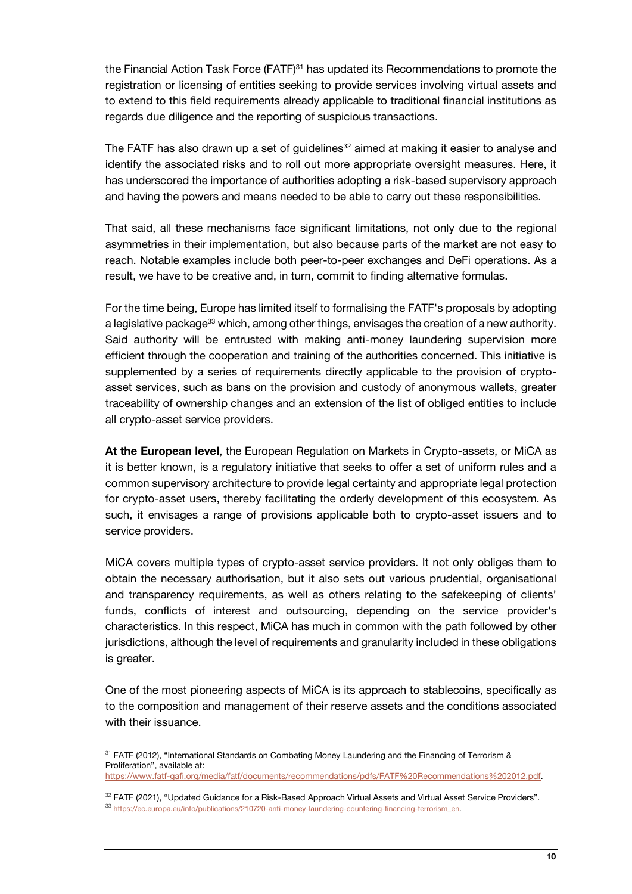the Financial Action Task Force  $(FATF)^{31}$  has updated its Recommendations to promote the registration or licensing of entities seeking to provide services involving virtual assets and to extend to this field requirements already applicable to traditional financial institutions as regards due diligence and the reporting of suspicious transactions.

The FATF has also drawn up a set of guidelines<sup>32</sup> aimed at making it easier to analyse and identify the associated risks and to roll out more appropriate oversight measures. Here, it has underscored the importance of authorities adopting a risk-based supervisory approach and having the powers and means needed to be able to carry out these responsibilities.

That said, all these mechanisms face significant limitations, not only due to the regional asymmetries in their implementation, but also because parts of the market are not easy to reach. Notable examples include both peer-to-peer exchanges and DeFi operations. As a result, we have to be creative and, in turn, commit to finding alternative formulas.

For the time being, Europe has limited itself to formalising the FATF's proposals by adopting a legislative package<sup>33</sup> which, among other things, envisages the creation of a new authority. Said authority will be entrusted with making anti-money laundering supervision more efficient through the cooperation and training of the authorities concerned. This initiative is supplemented by a series of requirements directly applicable to the provision of cryptoasset services, such as bans on the provision and custody of anonymous wallets, greater traceability of ownership changes and an extension of the list of obliged entities to include all crypto-asset service providers.

**At the European level**, the European Regulation on Markets in Crypto-assets, or MiCA as it is better known, is a regulatory initiative that seeks to offer a set of uniform rules and a common supervisory architecture to provide legal certainty and appropriate legal protection for crypto-asset users, thereby facilitating the orderly development of this ecosystem. As such, it envisages a range of provisions applicable both to crypto-asset issuers and to service providers.

MiCA covers multiple types of crypto-asset service providers. It not only obliges them to obtain the necessary authorisation, but it also sets out various prudential, organisational and transparency requirements, as well as others relating to the safekeeping of clients' funds, conflicts of interest and outsourcing, depending on the service provider's characteristics. In this respect, MiCA has much in common with the path followed by other jurisdictions, although the level of requirements and granularity included in these obligations is greater.

One of the most pioneering aspects of MiCA is its approach to stablecoins, specifically as to the composition and management of their reserve assets and the conditions associated with their issuance.

l

<sup>31</sup> FATF (2012), "International Standards on Combating Money Laundering and the Financing of Terrorism & Proliferation", available at: [https://www.fatf-gafi.org/media/fatf/documents/recommendations/pdfs/FATF%20Recommendations%202012.pdf.](https://www.fatf-gafi.org/media/fatf/documents/recommendations/pdfs/FATF%20Recommendations%202012.pdf)

<sup>32</sup> FATF (2021), "Updated Guidance for a Risk-Based Approach Virtual Assets and Virtual Asset Service Providers". 33 [https://ec.europa.eu/info/publications/210720-anti-money-laundering-countering-financing-terrorism\\_en.](https://ec.europa.eu/info/publications/210720-anti-money-laundering-countering-financing-terrorism_en)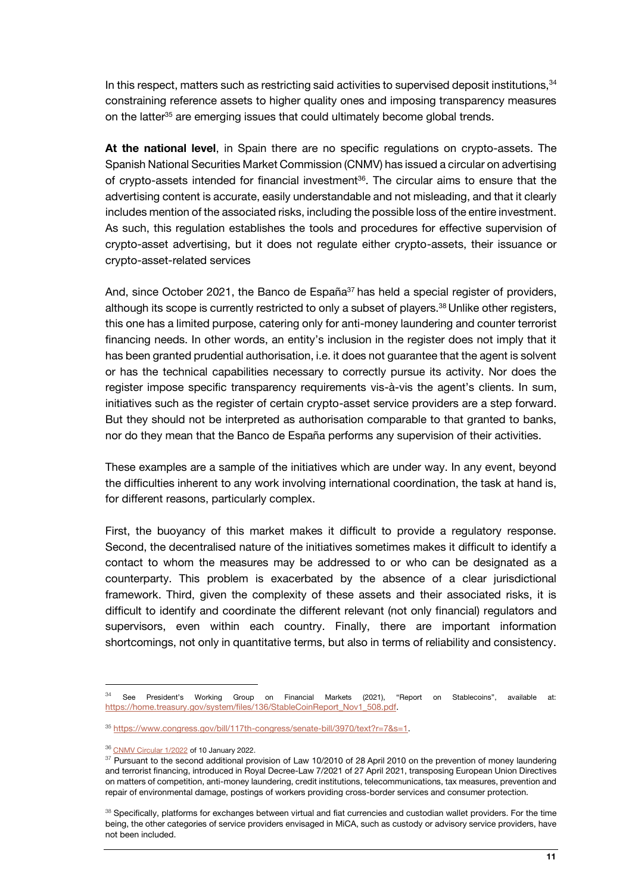In this respect, matters such as restricting said activities to supervised deposit institutions, 34 constraining reference assets to higher quality ones and imposing transparency measures on the latter<sup>35</sup> are emerging issues that could ultimately become global trends.

**At the national level**, in Spain there are no specific regulations on crypto-assets. The Spanish National Securities Market Commission (CNMV) has issued a circular on advertising of crypto-assets intended for financial investment<sup>36</sup>. The circular aims to ensure that the advertising content is accurate, easily understandable and not misleading, and that it clearly includes mention of the associated risks, including the possible loss of the entire investment. As such, this regulation establishes the tools and procedures for effective supervision of crypto-asset advertising, but it does not regulate either crypto-assets, their issuance or crypto-asset-related services

And, since October 2021, the Banco de España $37$  has held a special register of providers, although its scope is currently restricted to only a subset of players.<sup>38</sup> Unlike other registers, this one has a limited purpose, catering only for anti-money laundering and counter terrorist financing needs. In other words, an entity's inclusion in the register does not imply that it has been granted prudential authorisation, i.e. it does not guarantee that the agent is solvent or has the technical capabilities necessary to correctly pursue its activity. Nor does the register impose specific transparency requirements vis-à-vis the agent's clients. In sum, initiatives such as the register of certain crypto-asset service providers are a step forward. But they should not be interpreted as authorisation comparable to that granted to banks, nor do they mean that the Banco de España performs any supervision of their activities.

These examples are a sample of the initiatives which are under way. In any event, beyond the difficulties inherent to any work involving international coordination, the task at hand is, for different reasons, particularly complex.

First, the buoyancy of this market makes it difficult to provide a regulatory response. Second, the decentralised nature of the initiatives sometimes makes it difficult to identify a contact to whom the measures may be addressed to or who can be designated as a counterparty. This problem is exacerbated by the absence of a clear jurisdictional framework. Third, given the complexity of these assets and their associated risks, it is difficult to identify and coordinate the different relevant (not only financial) regulators and supervisors, even within each country. Finally, there are important information shortcomings, not only in quantitative terms, but also in terms of reliability and consistency.

1

See President's Working Group on Financial Markets (2021), "Report on Stablecoins", available at: [https://home.treasury.gov/system/files/136/StableCoinReport\\_Nov1\\_508.pdf.](https://home.treasury.gov/system/files/136/StableCoinReport_Nov1_508.pdf)

<sup>35</sup> [https://www.congress.gov/bill/117th-congress/senate-bill/3970/text?r=7&s=1.](https://www.congress.gov/bill/117th-congress/senate-bill/3970/text?r=7&s=1)

<sup>36</sup> [CNMV Circular 1/2022](https://www.boe.es/boe/dias/2022/01/17/pdfs/BOE-A-2022-666.pdf) of 10 January 2022.

<sup>&</sup>lt;sup>37</sup> Pursuant to the second additional provision of Law 10/2010 of 28 April 2010 on the prevention of money laundering and terrorist financing, introduced in Royal Decree-Law 7/2021 of 27 April 2021, transposing European Union Directives on matters of competition, anti-money laundering, credit institutions, telecommunications, tax measures, prevention and repair of environmental damage, postings of workers providing cross-border services and consumer protection.

<sup>&</sup>lt;sup>38</sup> Specifically, platforms for exchanges between virtual and fiat currencies and custodian wallet providers. For the time being, the other categories of service providers envisaged in MiCA, such as custody or advisory service providers, have not been included.